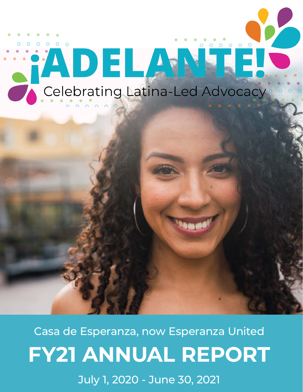

Casa de Esperanza, now Esperanza United **FY21 ANNUAL REPORT**

July 1, 2020 - June 30, 2021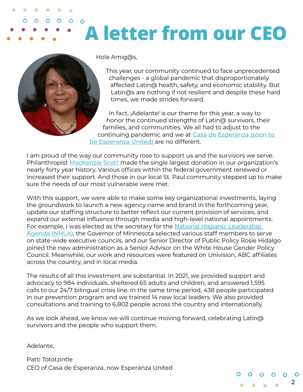### $\mathbf O$ **A letter from our CEO**



 $\mathbf{O}$ 

Hola Amig@s,

This year, our community continued to face unprecedented challenges - a global pandemic that disproportionately affected Latin@ health, safety, and economic stability. But Latin@s are nothing if not resilient and despite these hard times, we made strides forward.

2

In fact, ¡Adelante! is our theme for this year, a way to honor the continued strengths of Latin@ survivors, their families, and communities. We all had to adjust to the continuing pandemic and we at [Casa de Esperanza \(soon to](https://esperanzaunited.org/en/special-announcement-we-are-now-esperanza-united/)  [be Esperanza United\)](https://esperanzaunited.org/en/special-announcement-we-are-now-esperanza-united/) are no different.

I am proud of the way our community rose to support us and the survivors we serve. Philanthropist [MacKenzie Scott](https://esperanzaunited.org/en/casa-de-experanza-proud-to-receive-invesment-from-mackenzie-scott/) made the single largest donation in our organization's nearly forty year history. Various offices within the federal government renewed or increased their support. And those in our local St. Paul community stepped up to make sure the needs of our most vulnerable were met.

With this support, we were able to make some key organizational investments, laying the groundwork to launch a new agency name and brand in the forthcoming year, update our staffing structure to better reflect our current provision of services, and expand our external influence through media and high-level national appointments. For example, I was elected as the secretary for the [National Hispanic Leadership](https://nationalhispanicleadership.org/)  [Agenda \(NHLA\)](https://nationalhispanicleadership.org/), the Governor of Minnesota selected various staff members to serve on state-wide executive councils, and our Senior Director of Public Policy Rosie Hidalgo joined the new administration as a Senior Advisor on the White House Gender Policy Council. Meanwhile, our work and resources were featured on Univision, ABC affiliates across the country, and in local media.

The results of all this investment are substantial. In 2021, we provided support and advocacy to 984 individuals, sheltered 65 adults and children, and answered 1,595 calls to our 24/7 bilingual crisis line. In the same time period, 438 people participated in our prevention program and we trained 14 new local leaders. We also provided consultations and training to 6,802 people across the country and internationally.

As we look ahead, we know we will continue moving forward, celebrating Latin@ survivors and the people who support them.

Adelante,

Patti Tototzintle CEO of Casa de Esperanza, now Esperanza United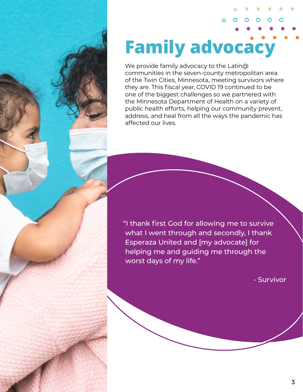# **Family advocacy**

 $\overline{O}$ 

We provide family advocacy to the Latin@ communities in the seven-county metropolitan area of the Twin Cities, Minnesota, meeting survivors where they are. This fiscal year, COVID 19 continued to be one of the biggest challenges so we partnered with the Minnesota Department of Health on a variety of public health efforts, helping our community prevent, address, and heal from all the ways the pandemic has affected our lives.

"I thank first God for allowing me to survive what I went through and secondly, I thank Esperaza United and [my advocate] for helping me and guiding me through the worst days of my life."

- Survivor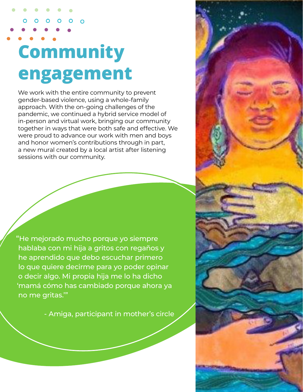# **Community engagement**

We work with the entire community to prevent gender-based violence, using a whole-family approach. With the on-going challenges of the pandemic, we continued a hybrid service model of in-person and virtual work, bringing our community together in ways that were both safe and effective. We were proud to advance our work with men and boys and honor women's contributions through in part, a new mural created by a local artist after listening sessions with our community.

"He mejorado mucho porque yo siempre hablaba con mi hija a gritos con regaños y he aprendido que debo escuchar primero lo que quiere decirme para yo poder opinar o decir algo. Mi propia hija me lo ha dicho 'mamá cómo has cambiado porque ahora ya no me gritas.'"

- Amiga, participant in mother's circle

4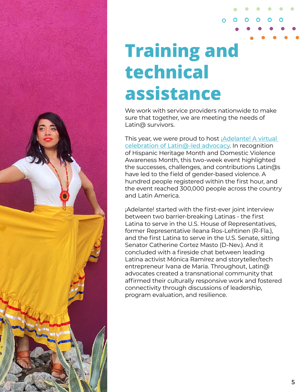

## **Training and technical assistance**

We work with service providers nationwide to make sure that together, we are meeting the needs of Latin@ survivors.

∩

This year, we were proud to host *¡Adelante! A virtual* [celebration of Latin@-led advocacy](https://adelantenln.org/). In recognition of Hispanic Heritage Month and Domestic Violence Awareness Month, this two-week event highlighted the successes, challenges, and contributions Latin@s have led to the field of gender-based violence. A hundred people registered within the first hour, and the event reached 300,000 people across the country and Latin America.

¡Adelante! started with the first-ever joint interview between two barrier-breaking Latinas - the first Latina to serve in the U.S. House of Representatives, former Representative Ileana Ros-Lehtinen (R-Fla.), and the first Latina to serve in the U.S. Senate, sitting Senator Catherine Cortez Masto (D-Nev.). And it concluded with a fireside chat between leading Latina activist Mónica Ramírez and storyteller/tech entrepreneur Ivana de Maria. Throughout, Latin@ advocates created a transnational community that affirmed their culturally responsive work and fostered connectivity through discussions of leadership, program evaluation, and resilience.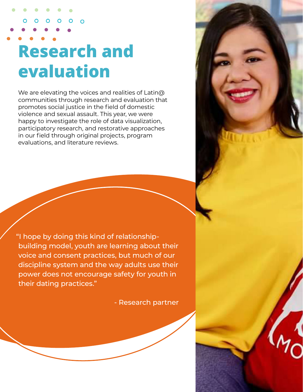## **Research and evaluation**

 $\Omega$ 

We are elevating the voices and realities of Latin@ communities through research and evaluation that promotes social justice in the field of domestic violence and sexual assault. This year, we were happy to investigate the role of data visualization, participatory research, and restorative approaches in our field through original projects, program evaluations, and literature reviews.

"I hope by doing this kind of relationshipbuilding model, youth are learning about their voice and consent practices, but much of our discipline system and the way adults use their power does not encourage safety for youth in their dating practices."

- Research partner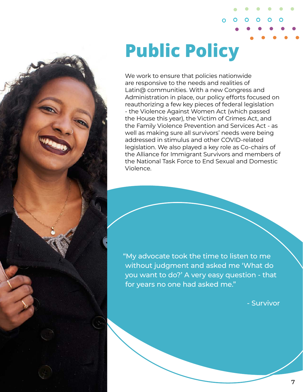**Public Policy**

We work to ensure that policies nationwide are responsive to the needs and realities of Latin@ communities. With a new Congress and Administration in place, our policy efforts focused on reauthorizing a few key pieces of federal legislation - the Violence Against Women Act (which passed the House this year), the Victim of Crimes Act, and the Family Violence Prevention and Services Act - as well as making sure all survivors' needs were being addressed in stimulus and other COVID-related legislation. We also played a key role as Co-chairs of the Alliance for Immigrant Survivors and members of the National Task Force to End Sexual and Domestic Violence.

∩

"My advocate took the time to listen to me without judgment and asked me 'What do you want to do?' A very easy question - that for years no one had asked me."

- Survivor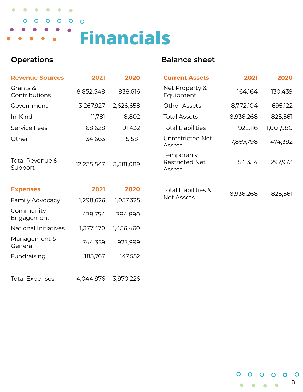### $\bullet$  $\bullet$  $\bullet$  $\bullet$  $\bullet$  $\bullet$  $\begin{array}{cccccccccccccc} \circ & \circ & \circ & \circ & \circ & \circ & \circ \end{array}$  $\bullet$ **Financials**

### **Operations Balance sheet**

| <b>Revenue Sources</b>     | 2021       | 2020      | <b>Current Assets</b>                                 | 2021      | 2020      |
|----------------------------|------------|-----------|-------------------------------------------------------|-----------|-----------|
| Grants &<br>Contributions  | 8,852,548  | 838,616   | Net Property &<br>Equipment                           | 164,164   | 130,439   |
| Government                 | 3,267,927  | 2,626,658 | <b>Other Assets</b>                                   | 8,772,104 | 695,122   |
| In-Kind                    | 11,781     | 8,802     | <b>Total Assets</b>                                   | 8,936,268 | 825,561   |
| <b>Service Fees</b>        | 68,628     | 91,432    | <b>Total Liabilities</b>                              | 922,116   | 1,001,980 |
| Other                      | 34,663     | 15,581    | Unrestricted Net<br>Assets                            | 7,859,798 | 474,392   |
| Total Revenue &<br>Support | 12,235,547 | 3,581,089 | <b>Temporarily</b><br><b>Restricted Net</b><br>Assets | 154,354   | 297,973   |
| <b>Expenses</b>            | 2021       | 2020      | <b>Total Liabilities &amp;</b><br><b>Net Assets</b>   | 8,936,268 | 825,561   |
| Family Advocacy            | 1,298,626  | 1,057,325 |                                                       |           |           |
| Community<br>Engagement    | 438,754    | 384,890   |                                                       |           |           |
| National Initiatives       | 1,377,470  | 1,456,460 |                                                       |           |           |
| Management &<br>General    | 744,359    | 923,999   |                                                       |           |           |
| Fundraising                | 185,767    | 147,552   |                                                       |           |           |
|                            |            |           |                                                       |           |           |

Total Expenses 4,044,976 3,970,226

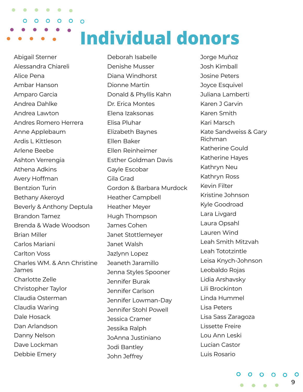O  $\mathbf{O}$  $O$   $O$  $\bullet$  $\overline{O}$ **Individual donors**

Abigail Sterner Alessandra Chiareli Alice Pena Ambar Hanson Amparo Garcia Andrea Dahlke Andrea Lawton Andres Romero Herrera Anne Applebaum Ardis L Kittleson Arlene Beebe Ashton Verrengia Athena Adkins Avery Hoffman Bentzion Turin Bethany Akeroyd Beverly & Anthony Deptula Brandon Tamez Brenda & Wade Woodson Brian Miller Carlos Mariani Carlton Voss Charles WM. & Ann Christine James Charlotte Zelle Christopher Taylor Claudia Osterman Claudia Waring Dale Hosack Dan Arlandson Danny Nelson Dave Lockman Debbie Emery

 $\bullet$ 

 $\bullet$ 

Deborah Isabelle Denishe Musser Diana Windhorst Dionne Martin Donald & Phyllis Kahn Dr. Erica Montes Elena Izaksonas Elisa Pluhar Elizabeth Baynes Ellen Baker Ellen Reinheimer Esther Goldman Davis Gayle Escobar Gila Grad Gordon & Barbara Murdock Heather Campbell Heather Meyer Hugh Thompson James Cohen Janet Stottlemeyer Janet Walsh Jazlynn Lopez Jeaneth Jaramillo Jenna Styles Spooner Jennifer Burak Jennifer Carlson Jennifer Lowman-Day Jennifer Stohl Powell Jessica Cramer Jessika Ralph JoAnna Justiniano Jodi Bantley John Jeffrey

Jorge Muñoz Josh Kimball Josine Peters Joyce Esquivel Juliana Lamberti Karen J Garvin Karen Smith Kari Marsch Kate Sandweiss & Gary Richman Katherine Gould Katherine Hayes Kathryn Neu Kathryn Ross Kevin Filter Kristine Johnson Kyle Goodroad Lara Livgard Laura Opsahl Lauren Wind Leah Smith Mitzvah Leah Tototzintle Leisa Knych-Johnson Leobaldo Rojas Lidia Arshavsky Lili Brockinton Linda Hummel Lisa Peters Lisa Sass Zaragoza Lissette Freire Lou Ann Leski Lucian Castor Luis Rosario

> $0$  0 0 0 - O 9  $\bullet\quad\bullet\quad\bullet$  $\bullet$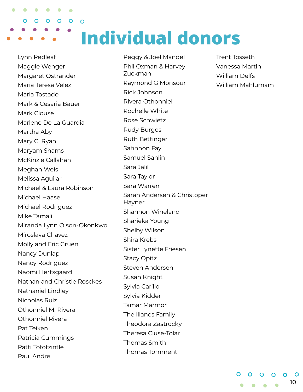$\bullet$  $\bullet$ O  $\mathbf{O}$  $O$   $O$  $\bullet$  $\overline{O}$ **Individual donors**

Lynn Redleaf Maggie Wenger Margaret Ostrander Maria Teresa Velez Maria Tostado Mark & Cesaria Bauer Mark Clouse Marlene De La Guardia Martha Aby Mary C. Ryan Maryam Shams McKinzie Callahan Meghan Weis Melissa Aguilar Michael & Laura Robinson Michael Haase Michael Rodriguez Mike Tamali Miranda Lynn Olson-Okonkwo Miroslava Chavez Molly and Eric Gruen Nancy Dunlap Nancy Rodriguez Naomi Hertsgaard Nathan and Christie Rosckes Nathaniel Lindley Nicholas Ruiz Othonniel M. Rivera Othonniel Rivera Pat Teiken Patricia Cummings Patti Tototzintle Paul Andre

Peggy & Joel Mandel Phil Oxman & Harvey Zuckman Raymond G Monsour Rick Johnson Rivera Othonniel Rochelle White Rose Schwietz Rudy Burgos Ruth Bettinger Sahnnon Fay Samuel Sahlin Sara Jalil Sara Taylor Sara Warren Sarah Andersen & Christoper Hayner Shannon Wineland Sharieka Young Shelby Wilson Shira Krebs Sister Lynette Friesen Stacy Opitz Steven Andersen Susan Knight Sylvia Carillo Sylvia Kidder Tamar Marmor The Illanes Family Theodora Zastrocky Theresa Cluse-Tolar Thomas Smith Thomas Tomment

Trent Tosseth Vanessa Martin William Delfs William Mahlumam

> $0$  0 0 0 - 0 10  $\bullet\quad\bullet\quad\bullet\quad\bullet$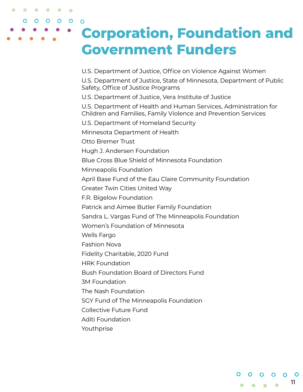### **Corporation, Foundation and Government Funders**

U.S. Department of Justice, Office on Violence Against Women

U.S. Department of Justice, State of Minnesota, Department of Public Safety, Office of Justice Programs

U.S. Department of Justice, Vera Institute of Justice

U.S. Department of Health and Human Services, Administration for Children and Families, Family Violence and Prevention Services

U.S. Department of Homeland Security

Minnesota Department of Health

Otto Bremer Trust

 $\mathbf{O}$ 

 $\begin{array}{cccccccccccccc} \circ & \circ & \circ & \circ & \circ \end{array}$ 

 $\Omega$ 

 $\bullet$ 

Hugh J. Andersen Foundation

Blue Cross Blue Shield of Minnesota Foundation

Minneapolis Foundation

April Base Fund of the Eau Claire Community Foundation

Greater Twin Cities United Way

F.R. Bigelow Foundation

Patrick and Aimee Butler Family Foundation

Sandra L. Vargas Fund of The Minneapolis Foundation

11

 $\circ$ 

 $0$  0 0 0 0

Women's Foundation of Minnesota

Wells Fargo

Fashion Nova

Fidelity Charitable, 2020 Fund

HRK Foundation

Bush Foundation Board of Directors Fund

3M Foundation

The Nash Foundation

SGY Fund of The Minneapolis Foundation

Collective Future Fund

Aditi Foundation

Youthprise